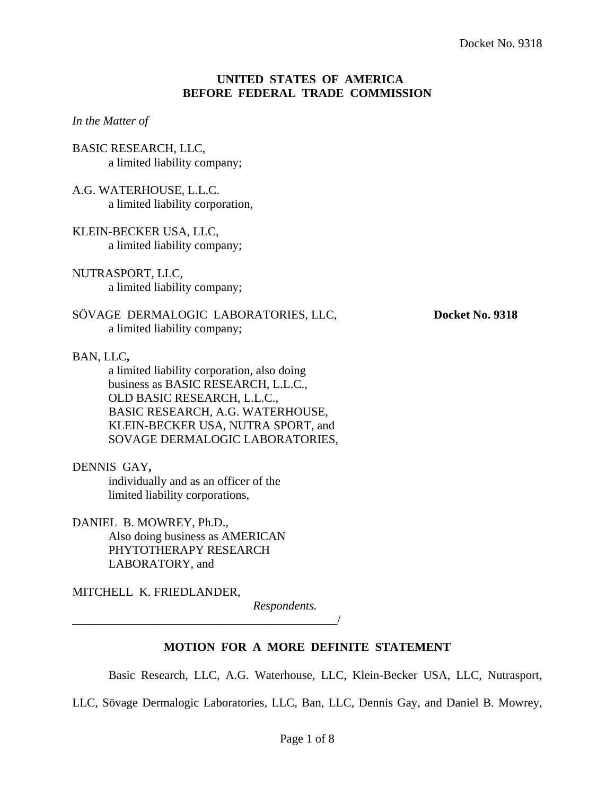## **UNITED STATES OF AMERICA BEFORE FEDERAL TRADE COMMISSION**

### *In the Matter of*

BASIC RESEARCH, LLC, a limited liability company;

A.G. WATERHOUSE, L.L.C. a limited liability corporation,

# KLEIN-BECKER USA, LLC,

a limited liability company;

NUTRASPORT, LLC, a limited liability company;

# SÖVAGE DERMALOGIC LABORATORIES, LLC, Docket No. 9318 a limited liability company;

# BAN, LLC**,**

a limited liability corporation, also doing business as BASIC RESEARCH, L.L.C., OLD BASIC RESEARCH, L.L.C., BASIC RESEARCH, A.G. WATERHOUSE, KLEIN-BECKER USA, NUTRA SPORT, and SOVAGE DERMALOGIC LABORATORIES,

DENNIS GAY**,** 

 individually and as an officer of the limited liability corporations,

\_\_\_\_\_\_\_\_\_\_\_\_\_\_\_\_\_\_\_\_\_\_\_\_\_\_\_\_\_\_\_\_\_\_\_\_\_\_\_\_\_\_\_\_/

DANIEL B. MOWREY, Ph.D., Also doing business as AMERICAN PHYTOTHERAPY RESEARCH LABORATORY, and

MITCHELL K. FRIEDLANDER,

 *Respondents.* 

# **MOTION FOR A MORE DEFINITE STATEMENT**

Basic Research, LLC, A.G. Waterhouse, LLC, Klein-Becker USA, LLC, Nutrasport,

LLC, Sövage Dermalogic Laboratories, LLC, Ban, LLC, Dennis Gay, and Daniel B. Mowrey,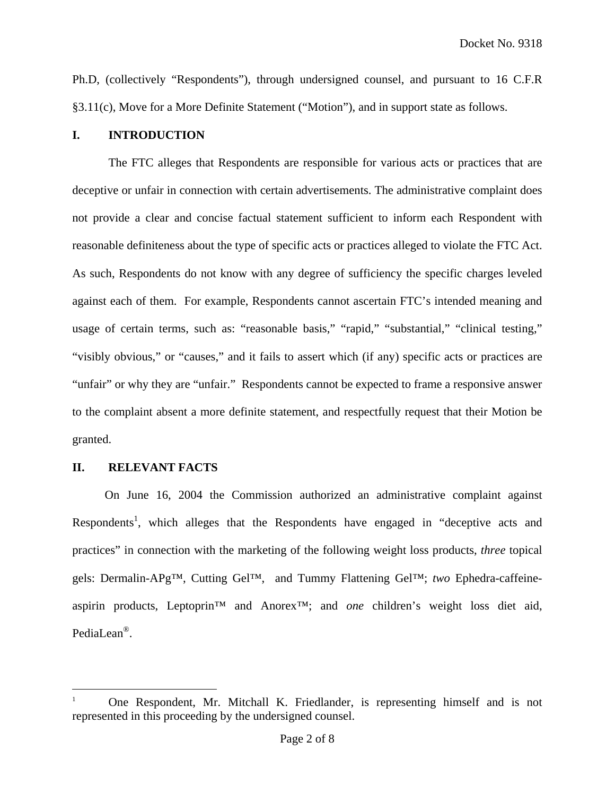Ph.D, (collectively "Respondents"), through undersigned counsel, and pursuant to 16 C.F.R §3.11(c), Move for a More Definite Statement ("Motion"), and in support state as follows.

# **I. INTRODUCTION**

 The FTC alleges that Respondents are responsible for various acts or practices that are deceptive or unfair in connection with certain advertisements. The administrative complaint does not provide a clear and concise factual statement sufficient to inform each Respondent with reasonable definiteness about the type of specific acts or practices alleged to violate the FTC Act. As such, Respondents do not know with any degree of sufficiency the specific charges leveled against each of them. For example, Respondents cannot ascertain FTC's intended meaning and usage of certain terms, such as: "reasonable basis," "rapid," "substantial," "clinical testing," "visibly obvious," or "causes," and it fails to assert which (if any) specific acts or practices are "unfair" or why they are "unfair." Respondents cannot be expected to frame a responsive answer to the complaint absent a more definite statement, and respectfully request that their Motion be granted.

#### **II. RELEVANT FACTS**

1

On June 16, 2004 the Commission authorized an administrative complaint against Respondents<sup>1</sup>, which alleges that the Respondents have engaged in "deceptive acts and practices" in connection with the marketing of the following weight loss products, *three* topical gels: Dermalin-APg™, Cutting Gel™, and Tummy Flattening Gel™; *two* Ephedra-caffeineaspirin products, Leptoprin™ and Anorex™; and *one* children's weight loss diet aid, PediaLean®.

<sup>1</sup> One Respondent, Mr. Mitchall K. Friedlander, is representing himself and is not represented in this proceeding by the undersigned counsel.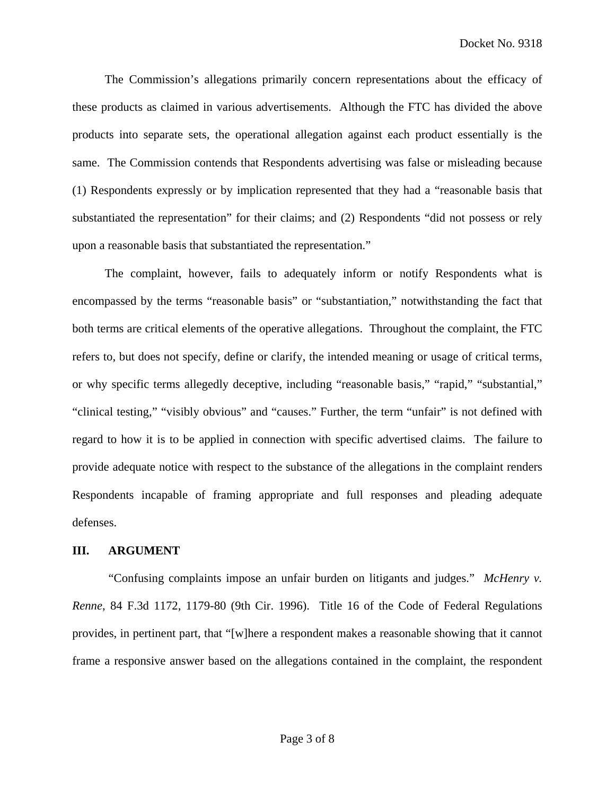The Commission's allegations primarily concern representations about the efficacy of these products as claimed in various advertisements. Although the FTC has divided the above products into separate sets, the operational allegation against each product essentially is the same. The Commission contends that Respondents advertising was false or misleading because (1) Respondents expressly or by implication represented that they had a "reasonable basis that substantiated the representation" for their claims; and (2) Respondents "did not possess or rely upon a reasonable basis that substantiated the representation."

The complaint, however, fails to adequately inform or notify Respondents what is encompassed by the terms "reasonable basis" or "substantiation," notwithstanding the fact that both terms are critical elements of the operative allegations. Throughout the complaint, the FTC refers to, but does not specify, define or clarify, the intended meaning or usage of critical terms, or why specific terms allegedly deceptive, including "reasonable basis," "rapid," "substantial," "clinical testing," "visibly obvious" and "causes." Further, the term "unfair" is not defined with regard to how it is to be applied in connection with specific advertised claims. The failure to provide adequate notice with respect to the substance of the allegations in the complaint renders Respondents incapable of framing appropriate and full responses and pleading adequate defenses.

#### **III. ARGUMENT**

"Confusing complaints impose an unfair burden on litigants and judges." *McHenry v. Renne*, 84 F.3d 1172, 1179-80 (9th Cir. 1996). Title 16 of the Code of Federal Regulations provides, in pertinent part, that "[w]here a respondent makes a reasonable showing that it cannot frame a responsive answer based on the allegations contained in the complaint, the respondent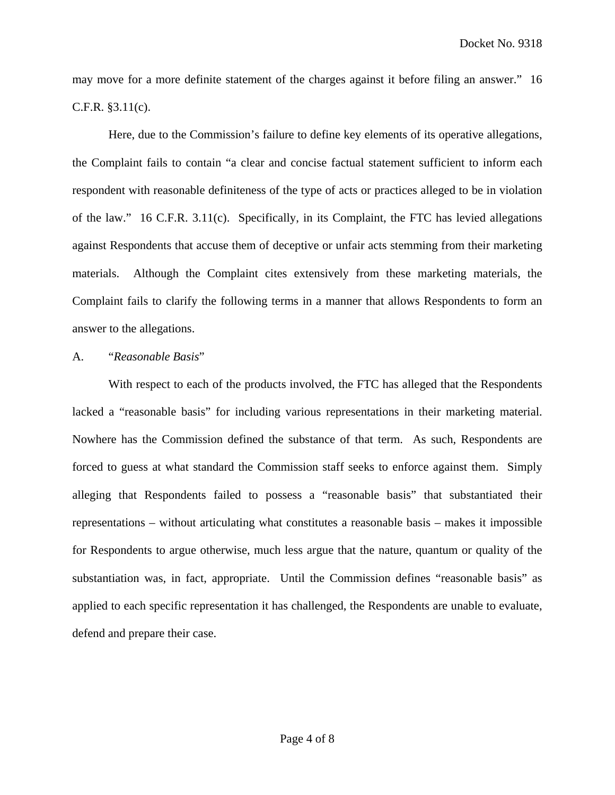may move for a more definite statement of the charges against it before filing an answer." 16 C.F.R. §3.11(c).

Here, due to the Commission's failure to define key elements of its operative allegations, the Complaint fails to contain "a clear and concise factual statement sufficient to inform each respondent with reasonable definiteness of the type of acts or practices alleged to be in violation of the law." 16 C.F.R. 3.11(c). Specifically, in its Complaint, the FTC has levied allegations against Respondents that accuse them of deceptive or unfair acts stemming from their marketing materials. Although the Complaint cites extensively from these marketing materials, the Complaint fails to clarify the following terms in a manner that allows Respondents to form an answer to the allegations.

#### A. "*Reasonable Basis*"

With respect to each of the products involved, the FTC has alleged that the Respondents lacked a "reasonable basis" for including various representations in their marketing material. Nowhere has the Commission defined the substance of that term. As such, Respondents are forced to guess at what standard the Commission staff seeks to enforce against them. Simply alleging that Respondents failed to possess a "reasonable basis" that substantiated their representations – without articulating what constitutes a reasonable basis – makes it impossible for Respondents to argue otherwise, much less argue that the nature, quantum or quality of the substantiation was, in fact, appropriate. Until the Commission defines "reasonable basis" as applied to each specific representation it has challenged, the Respondents are unable to evaluate, defend and prepare their case.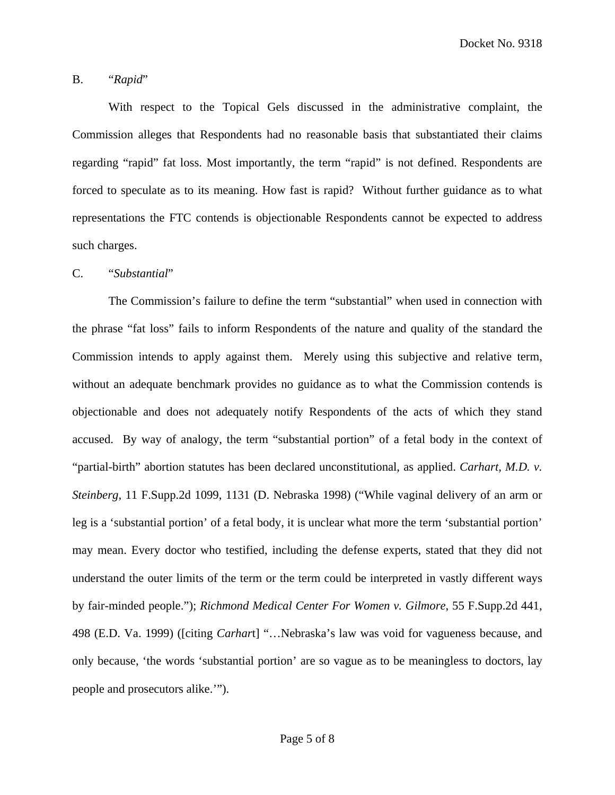Docket No. 9318

## B. "*Rapid*"

With respect to the Topical Gels discussed in the administrative complaint, the Commission alleges that Respondents had no reasonable basis that substantiated their claims regarding "rapid" fat loss. Most importantly, the term "rapid" is not defined. Respondents are forced to speculate as to its meaning. How fast is rapid? Without further guidance as to what representations the FTC contends is objectionable Respondents cannot be expected to address such charges.

#### C. "*Substantial*"

 The Commission's failure to define the term "substantial" when used in connection with the phrase "fat loss" fails to inform Respondents of the nature and quality of the standard the Commission intends to apply against them. Merely using this subjective and relative term, without an adequate benchmark provides no guidance as to what the Commission contends is objectionable and does not adequately notify Respondents of the acts of which they stand accused. By way of analogy, the term "substantial portion" of a fetal body in the context of "partial-birth" abortion statutes has been declared unconstitutional, as applied. *Carhart, M.D. v. Steinberg,* 11 F.Supp.2d 1099, 1131 (D. Nebraska 1998) ("While vaginal delivery of an arm or leg is a 'substantial portion' of a fetal body, it is unclear what more the term 'substantial portion' may mean. Every doctor who testified, including the defense experts, stated that they did not understand the outer limits of the term or the term could be interpreted in vastly different ways by fair-minded people."); *Richmond Medical Center For Women v. Gilmore*, 55 F.Supp.2d 441, 498 (E.D. Va. 1999) ([citing *Carhar*t] "…Nebraska's law was void for vagueness because, and only because, 'the words 'substantial portion' are so vague as to be meaningless to doctors, lay people and prosecutors alike.'").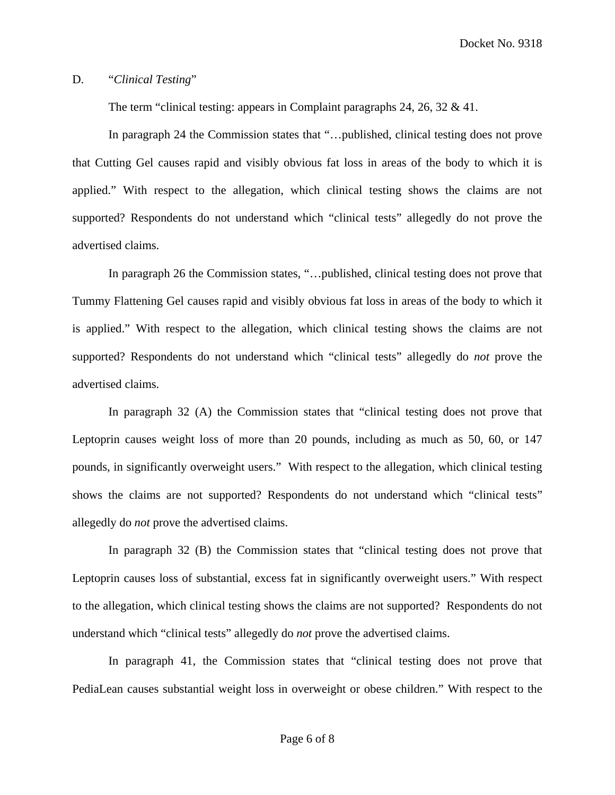Docket No. 9318

#### D. "*Clinical Testing*"

The term "clinical testing: appears in Complaint paragraphs 24, 26, 32 & 41.

In paragraph 24 the Commission states that "...published, clinical testing does not prove that Cutting Gel causes rapid and visibly obvious fat loss in areas of the body to which it is applied." With respect to the allegation, which clinical testing shows the claims are not supported? Respondents do not understand which "clinical tests" allegedly do not prove the advertised claims.

In paragraph 26 the Commission states, "…published, clinical testing does not prove that Tummy Flattening Gel causes rapid and visibly obvious fat loss in areas of the body to which it is applied." With respect to the allegation, which clinical testing shows the claims are not supported? Respondents do not understand which "clinical tests" allegedly do *not* prove the advertised claims.

In paragraph 32 (A) the Commission states that "clinical testing does not prove that Leptoprin causes weight loss of more than 20 pounds, including as much as 50, 60, or 147 pounds, in significantly overweight users." With respect to the allegation, which clinical testing shows the claims are not supported? Respondents do not understand which "clinical tests" allegedly do *not* prove the advertised claims.

In paragraph 32 (B) the Commission states that "clinical testing does not prove that Leptoprin causes loss of substantial, excess fat in significantly overweight users." With respect to the allegation, which clinical testing shows the claims are not supported? Respondents do not understand which "clinical tests" allegedly do *not* prove the advertised claims.

In paragraph 41, the Commission states that "clinical testing does not prove that PediaLean causes substantial weight loss in overweight or obese children." With respect to the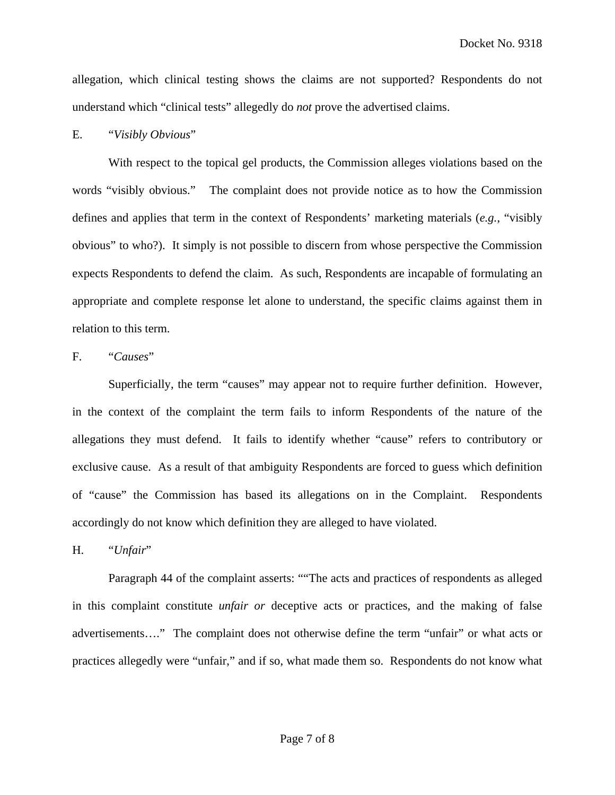allegation, which clinical testing shows the claims are not supported? Respondents do not understand which "clinical tests" allegedly do *not* prove the advertised claims.

#### E. "*Visibly Obvious*"

With respect to the topical gel products, the Commission alleges violations based on the words "visibly obvious." The complaint does not provide notice as to how the Commission defines and applies that term in the context of Respondents' marketing materials (*e.g.*, "visibly obvious" to who?). It simply is not possible to discern from whose perspective the Commission expects Respondents to defend the claim. As such, Respondents are incapable of formulating an appropriate and complete response let alone to understand, the specific claims against them in relation to this term.

### F. "*Causes*"

Superficially, the term "causes" may appear not to require further definition. However, in the context of the complaint the term fails to inform Respondents of the nature of the allegations they must defend. It fails to identify whether "cause" refers to contributory or exclusive cause. As a result of that ambiguity Respondents are forced to guess which definition of "cause" the Commission has based its allegations on in the Complaint. Respondents accordingly do not know which definition they are alleged to have violated.

H. "*Unfair*"

Paragraph 44 of the complaint asserts: ""The acts and practices of respondents as alleged in this complaint constitute *unfair or* deceptive acts or practices, and the making of false advertisements…." The complaint does not otherwise define the term "unfair" or what acts or practices allegedly were "unfair," and if so, what made them so. Respondents do not know what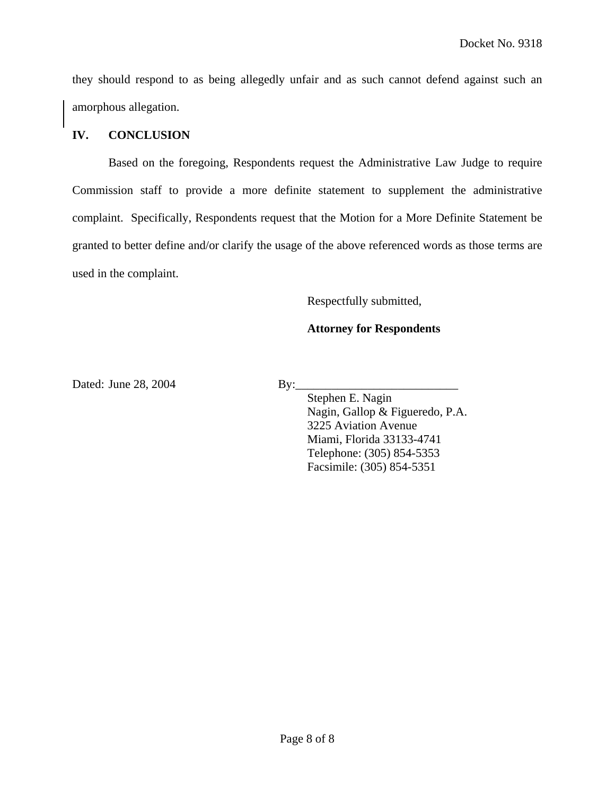they should respond to as being allegedly unfair and as such cannot defend against such an amorphous allegation.

# **IV. CONCLUSION**

 Based on the foregoing, Respondents request the Administrative Law Judge to require Commission staff to provide a more definite statement to supplement the administrative complaint. Specifically, Respondents request that the Motion for a More Definite Statement be granted to better define and/or clarify the usage of the above referenced words as those terms are used in the complaint.

Respectfully submitted,

# **Attorney for Respondents**

Dated: June 28, 2004 By:

 Stephen E. Nagin Nagin, Gallop & Figueredo, P.A. 3225 Aviation Avenue Miami, Florida 33133-4741 Telephone: (305) 854-5353 Facsimile: (305) 854-5351